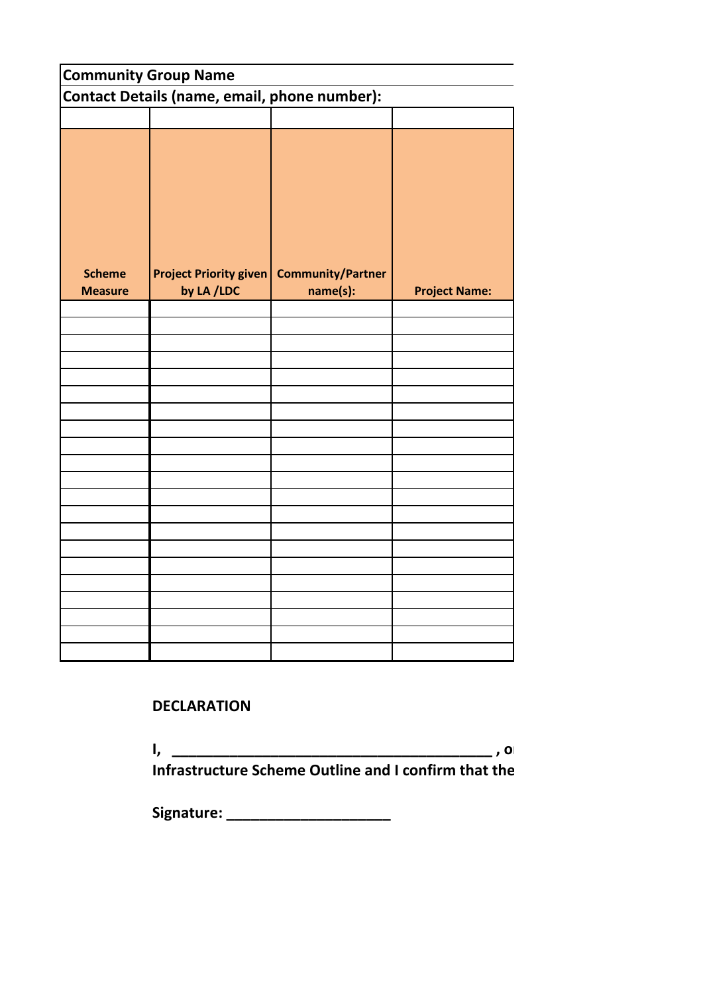| <b>Community Group Name</b>                  |                               |                          |                      |  |  |  |  |  |
|----------------------------------------------|-------------------------------|--------------------------|----------------------|--|--|--|--|--|
| Contact Details (name, email, phone number): |                               |                          |                      |  |  |  |  |  |
|                                              |                               |                          |                      |  |  |  |  |  |
|                                              |                               |                          |                      |  |  |  |  |  |
| <b>Scheme</b>                                | <b>Project Priority given</b> | <b>Community/Partner</b> |                      |  |  |  |  |  |
| <b>Measure</b>                               | by LA /LDC                    | name(s):                 | <b>Project Name:</b> |  |  |  |  |  |
|                                              |                               |                          |                      |  |  |  |  |  |
|                                              |                               |                          |                      |  |  |  |  |  |
|                                              |                               |                          |                      |  |  |  |  |  |
|                                              |                               |                          |                      |  |  |  |  |  |
|                                              |                               |                          |                      |  |  |  |  |  |
|                                              |                               |                          |                      |  |  |  |  |  |
|                                              |                               |                          |                      |  |  |  |  |  |
|                                              |                               |                          |                      |  |  |  |  |  |
|                                              |                               |                          |                      |  |  |  |  |  |
|                                              |                               |                          |                      |  |  |  |  |  |
|                                              |                               |                          |                      |  |  |  |  |  |
|                                              |                               |                          |                      |  |  |  |  |  |
|                                              |                               |                          |                      |  |  |  |  |  |
|                                              |                               |                          |                      |  |  |  |  |  |
|                                              |                               |                          |                      |  |  |  |  |  |
|                                              |                               |                          |                      |  |  |  |  |  |
|                                              |                               |                          |                      |  |  |  |  |  |
|                                              |                               |                          |                      |  |  |  |  |  |
|                                              |                               |                          |                      |  |  |  |  |  |
|                                              |                               |                          |                      |  |  |  |  |  |

## **DECLARATION**

**I, \_\_\_\_\_\_\_\_\_\_\_\_\_\_\_\_\_\_\_\_\_\_\_\_\_\_\_\_\_\_\_\_\_\_\_\_\_\_\_ , on behalf ofCommunity Group\_\_\_\_\_\_\_\_\_\_\_\_\_\_\_\_\_\_\_\_\_\_\_\_\_\_\_\_\_\_ undertake to ensure that all required permissions, match-funding, etc. are in place to enable the projects listed to be completed in compliance with the 2021 Outdoor Rural Infrastructure Scheme Outline and I confirm that the** 

**Signature: \_\_\_\_\_\_\_\_\_\_\_\_\_\_\_\_\_\_\_\_**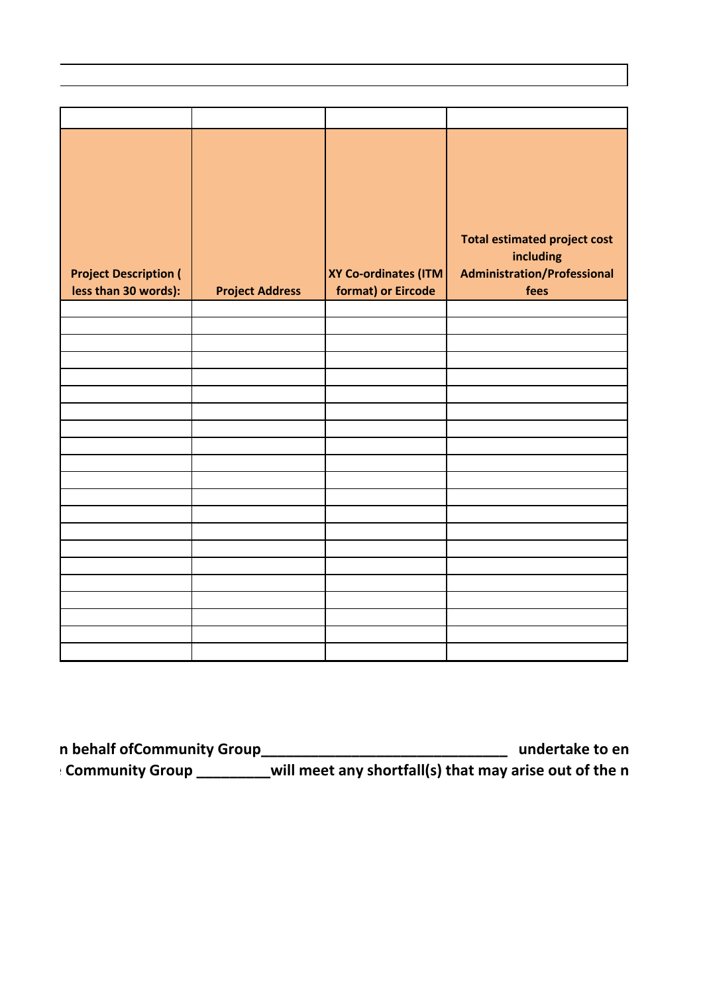|                              |                        |                      | <b>Total estimated project cost</b> |
|------------------------------|------------------------|----------------------|-------------------------------------|
|                              |                        |                      | including                           |
| <b>Project Description (</b> |                        | XY Co-ordinates (ITM | <b>Administration/Professional</b>  |
| less than 30 words):         | <b>Project Address</b> | format) or Eircode   | fees                                |
|                              |                        |                      |                                     |
|                              |                        |                      |                                     |
|                              |                        |                      |                                     |
|                              |                        |                      |                                     |
|                              |                        |                      |                                     |
|                              |                        |                      |                                     |
|                              |                        |                      |                                     |
|                              |                        |                      |                                     |
|                              |                        |                      |                                     |
|                              |                        |                      |                                     |
|                              |                        |                      |                                     |
|                              |                        |                      |                                     |
|                              |                        |                      |                                     |
|                              |                        |                      |                                     |
|                              |                        |                      |                                     |
|                              |                        |                      |                                     |
|                              |                        |                      |                                     |
|                              |                        |                      |                                     |
|                              |                        |                      |                                     |

| ı behalf ofCommunity Grour | undertake to en                                        |  |
|----------------------------|--------------------------------------------------------|--|
| <b>Community Grour</b>     | will meet any shortfall(s) that may arise out of the n |  |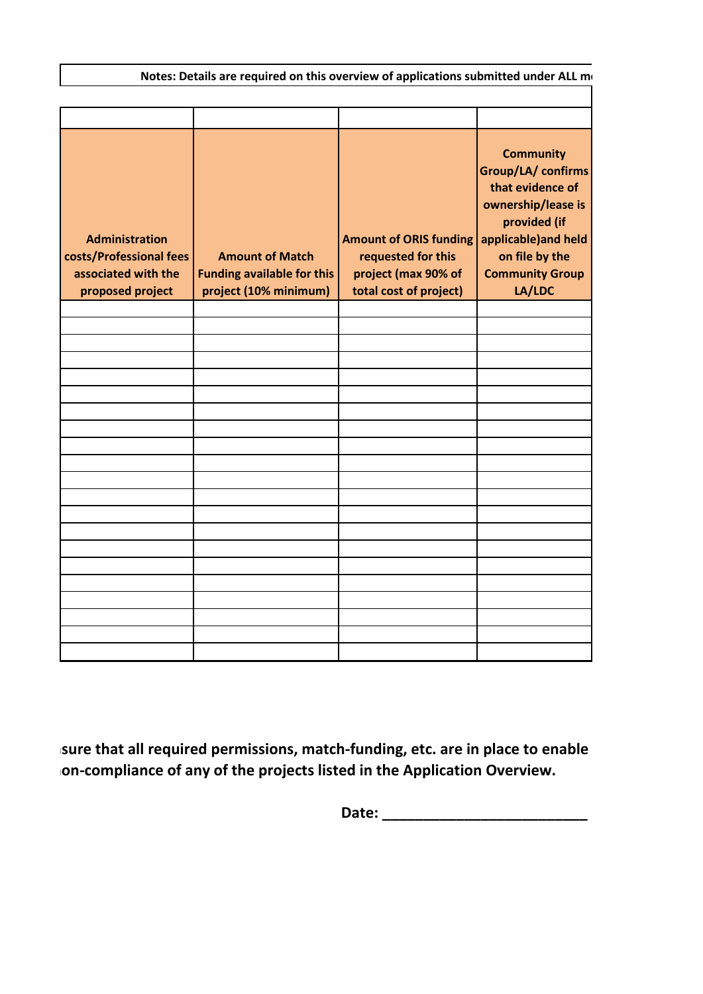**Administration costs/Professional fees associated with the proposed project Amount of Match Funding available for this project (10% minimum) Amount of ORIS funding applicable)and held requested for this project (max 90% of total cost of project) Community Group/LA/ confirms that evidence of ownership/lease is provided (if on file by the Community Group LA/LDC** Notes: Details are required on this overview of applications submitted under ALL mo

sure that all required permissions, match-funding, etc. are in place to enable on-compliance of any of the projects listed in the Application Overview.

**Date: \_\_\_\_\_\_\_\_\_\_\_\_\_\_\_\_\_\_\_\_\_\_\_\_\_**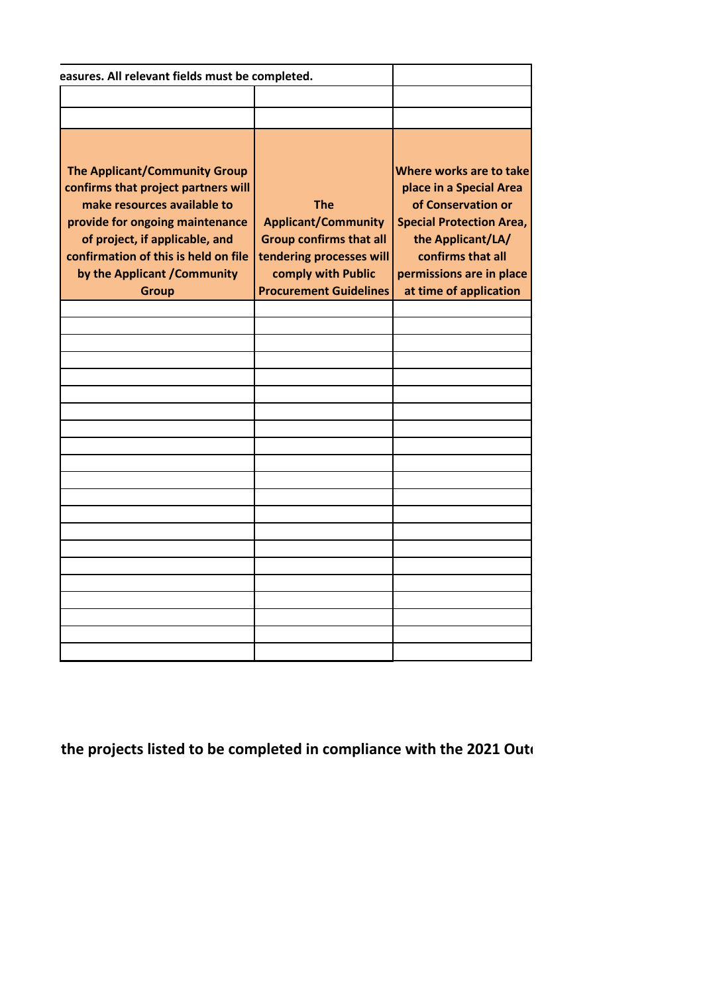| easures. All relevant fields must be completed.                                                                                                                                                                                                                  |                                                                                                                                                               |                                                                                                                                                                                                             |
|------------------------------------------------------------------------------------------------------------------------------------------------------------------------------------------------------------------------------------------------------------------|---------------------------------------------------------------------------------------------------------------------------------------------------------------|-------------------------------------------------------------------------------------------------------------------------------------------------------------------------------------------------------------|
|                                                                                                                                                                                                                                                                  |                                                                                                                                                               |                                                                                                                                                                                                             |
|                                                                                                                                                                                                                                                                  |                                                                                                                                                               |                                                                                                                                                                                                             |
|                                                                                                                                                                                                                                                                  |                                                                                                                                                               |                                                                                                                                                                                                             |
| The Applicant/Community Group<br>confirms that project partners will<br>make resources available to<br>provide for ongoing maintenance<br>of project, if applicable, and<br>confirmation of this is held on file<br>by the Applicant / Community<br><b>Group</b> | <b>The</b><br><b>Applicant/Community</b><br><b>Group confirms that all</b><br>tendering processes will<br>comply with Public<br><b>Procurement Guidelines</b> | Where works are to take<br>place in a Special Area<br>of Conservation or<br><b>Special Protection Area,</b><br>the Applicant/LA/<br>confirms that all<br>permissions are in place<br>at time of application |
|                                                                                                                                                                                                                                                                  |                                                                                                                                                               |                                                                                                                                                                                                             |
|                                                                                                                                                                                                                                                                  |                                                                                                                                                               |                                                                                                                                                                                                             |
|                                                                                                                                                                                                                                                                  |                                                                                                                                                               |                                                                                                                                                                                                             |
|                                                                                                                                                                                                                                                                  |                                                                                                                                                               |                                                                                                                                                                                                             |
|                                                                                                                                                                                                                                                                  |                                                                                                                                                               |                                                                                                                                                                                                             |
|                                                                                                                                                                                                                                                                  |                                                                                                                                                               |                                                                                                                                                                                                             |
|                                                                                                                                                                                                                                                                  |                                                                                                                                                               |                                                                                                                                                                                                             |
|                                                                                                                                                                                                                                                                  |                                                                                                                                                               |                                                                                                                                                                                                             |
|                                                                                                                                                                                                                                                                  |                                                                                                                                                               |                                                                                                                                                                                                             |
|                                                                                                                                                                                                                                                                  |                                                                                                                                                               |                                                                                                                                                                                                             |
|                                                                                                                                                                                                                                                                  |                                                                                                                                                               |                                                                                                                                                                                                             |
|                                                                                                                                                                                                                                                                  |                                                                                                                                                               |                                                                                                                                                                                                             |
|                                                                                                                                                                                                                                                                  |                                                                                                                                                               |                                                                                                                                                                                                             |
|                                                                                                                                                                                                                                                                  |                                                                                                                                                               |                                                                                                                                                                                                             |
|                                                                                                                                                                                                                                                                  |                                                                                                                                                               |                                                                                                                                                                                                             |
|                                                                                                                                                                                                                                                                  |                                                                                                                                                               |                                                                                                                                                                                                             |
|                                                                                                                                                                                                                                                                  |                                                                                                                                                               |                                                                                                                                                                                                             |
|                                                                                                                                                                                                                                                                  |                                                                                                                                                               |                                                                                                                                                                                                             |
|                                                                                                                                                                                                                                                                  |                                                                                                                                                               |                                                                                                                                                                                                             |
|                                                                                                                                                                                                                                                                  |                                                                                                                                                               |                                                                                                                                                                                                             |
|                                                                                                                                                                                                                                                                  |                                                                                                                                                               |                                                                                                                                                                                                             |

the projects listed to be completed in compliance with the 2021 Outo